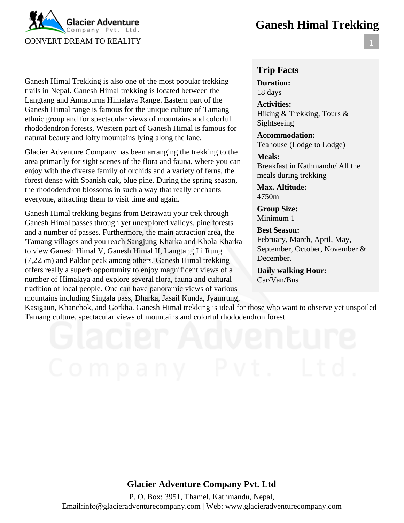## **Ganesh Himal Trekking**



Ganesh Himal Trekking is also one of the most popular trekking trails in Nepal. Ganesh Himal trekking is located between the Langtang and Annapurna Himalaya Range. Eastern part of the Ganesh Himal range is famous for the unique culture of Tamang ethnic group and for spectacular views of mountains and colorful rhododendron forests, Western part of Ganesh Himal is famous for natural beauty and lofty mountains lying along the lane.

Glacier Adventure Company has been arranging the trekking to the area primarily for sight scenes of the flora and fauna, where you can enjoy with the diverse family of orchids and a variety of ferns, the forest dense with Spanish oak, blue pine. During the spring season, the rhododendron blossoms in such a way that really enchants everyone, attracting them to visit time and again.

Ganesh Himal trekking begins from Betrawati your trek through Ganesh Himal passes through yet unexplored valleys, pine forests and a number of passes. Furthermore, the main attraction area, the 'Tamang villages and you reach Sangjung Kharka and Khola Kharka to view Ganesh Himal V, Ganesh Himal II, Langtang Li Rung (7,225m) and Paldor peak among others. Ganesh Himal trekking offers really a superb opportunity to enjoy magnificent views of a number of Himalaya and explore several flora, fauna and cultural tradition of local people. One can have panoramic views of various mountains including Singala pass, Dharka, Jasail Kunda, Jyamrung,

#### **Trip Facts**

**Duration:** 18 days

**Activities:** Hiking & Trekking, Tours & Sightseeing

**Accommodation:** Teahouse (Lodge to Lodge)

**Meals:** Breakfast in Kathmandu/ All the meals during trekking

**Max. Altitude:** 4750m

**Group Size:** Minimum 1

**Best Season:** February, March, April, May, September, October, November & December.

**Daily walking Hour:** Car/Van/Bus

Kasigaun, Khanchok, and Gorkha. Ganesh Himal trekking is ideal for those who want to observe yet unspoiled Tamang culture, spectacular views of mountains and colorful rhododendron forest.

#### **Glacier Adventure Company Pvt. Ltd**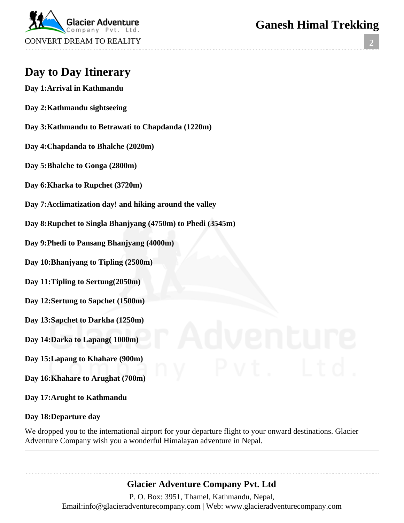

### **2**

# **Day to Day Itinerary**

- **Day 1:Arrival in Kathmandu**
- **Day 2:Kathmandu sightseeing**
- **Day 3:Kathmandu to Betrawati to Chapdanda (1220m)**
- **Day 4:Chapdanda to Bhalche (2020m)**
- **Day 5:Bhalche to Gonga (2800m)**
- **Day 6:Kharka to Rupchet (3720m)**
- **Day 7:Acclimatization day! and hiking around the valley**
- **Day 8:Rupchet to Singla Bhanjyang (4750m) to Phedi (3545m)**
- **Day 9:Phedi to Pansang Bhanjyang (4000m)**
- **Day 10:Bhanjyang to Tipling (2500m)**
- **Day 11:Tipling to Sertung(2050m)**
- **Day 12:Sertung to Sapchet (1500m)**
- **Day 13:Sapchet to Darkha (1250m)**
- **Day 14:Darka to Lapang( 1000m)**
- **Day 15:Lapang to Khahare (900m)**
- **Day 16:Khahare to Arughat (700m)**
- **Day 17:Arught to Kathmandu**

#### **Day 18:Departure day**

We dropped you to the international airport for your departure flight to your onward destinations. Glacier Adventure Company wish you a wonderful Himalayan adventure in Nepal.

### **Glacier Adventure Company Pvt. Ltd**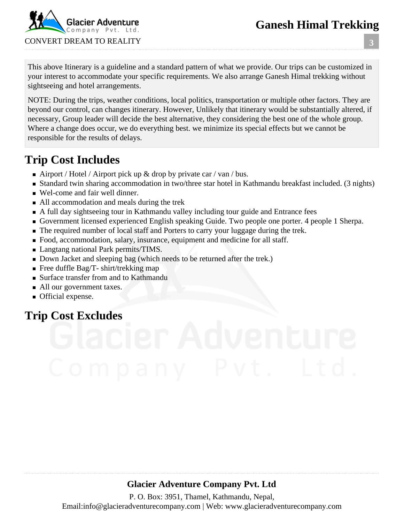# **Ganesh Himal Trekking**

**3**



This above Itinerary is a guideline and a standard pattern of what we provide. Our trips can be customized in your interest to accommodate your specific requirements. We also arrange Ganesh Himal trekking without sightseeing and hotel arrangements.

NOTE: During the trips, weather conditions, local politics, transportation or multiple other factors. They are beyond our control, can changes itinerary. However, Unlikely that itinerary would be substantially altered, if necessary, Group leader will decide the best alternative, they considering the best one of the whole group. Where a change does occur, we do everything best. we minimize its special effects but we cannot be responsible for the results of delays.

# **Trip Cost Includes**

- Airport / Hotel / Airport pick up  $\&$  drop by private car / van / bus.
- Standard twin sharing accommodation in two/three star hotel in Kathmandu breakfast included. (3 nights)
- Wel-come and fair well dinner.
- All accommodation and meals during the trek
- A full day sightseeing tour in Kathmandu valley including tour guide and Entrance fees
- Government licensed experienced English speaking Guide. Two people one porter. 4 people 1 Sherpa.
- The required number of local staff and Porters to carry your luggage during the trek.
- Food, accommodation, salary, insurance, equipment and medicine for all staff.
- **Langtang national Park permits/TIMS.**
- Down Jacket and sleeping bag (which needs to be returned after the trek.)
- Free duffle Bag/T- shirt/trekking map
- Surface transfer from and to Kathmandu
- All our government taxes.
- **Official expense.**

# **Trip Cost Excludes**

## **Glacier Adventure Company Pvt. Ltd**